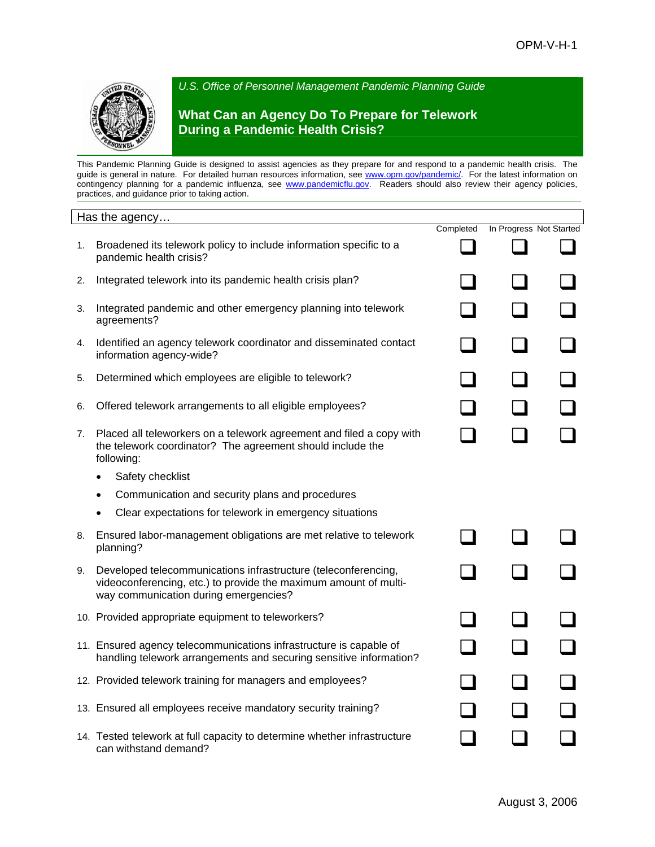

*U.S. Office of Personnel Management Pandemic Planning Guide*

## **What Can an Agency Do To Prepare for Telework During a Pandemic Health Crisis?**

This Pandemic Planning Guide is designed to assist agencies as they prepare for and respond to a pandemic health crisis. The guide is general in nature. For detailed human resources information, see [www.opm.gov/pandemic/.](http://www.opm.gov/pandemic/) For the latest information on contingency planning for a pandemic influenza, see [www.pandemicflu.gov](http://www.pandemicflu.gov/). Readers should also review their agency policies, practices, and guidance prior to taking action.

|    | Has the agency                                                                                                                                                              |           |                         |  |
|----|-----------------------------------------------------------------------------------------------------------------------------------------------------------------------------|-----------|-------------------------|--|
| 1. | Broadened its telework policy to include information specific to a<br>pandemic health crisis?                                                                               | Completed | In Progress Not Started |  |
| 2. | Integrated telework into its pandemic health crisis plan?                                                                                                                   |           |                         |  |
| 3. | Integrated pandemic and other emergency planning into telework<br>agreements?                                                                                               |           |                         |  |
| 4. | Identified an agency telework coordinator and disseminated contact<br>information agency-wide?                                                                              |           |                         |  |
| 5. | Determined which employees are eligible to telework?                                                                                                                        |           |                         |  |
| 6. | Offered telework arrangements to all eligible employees?                                                                                                                    |           |                         |  |
| 7. | Placed all teleworkers on a telework agreement and filed a copy with<br>the telework coordinator? The agreement should include the<br>following:                            |           |                         |  |
|    | Safety checklist<br>$\bullet$                                                                                                                                               |           |                         |  |
|    | Communication and security plans and procedures                                                                                                                             |           |                         |  |
|    | Clear expectations for telework in emergency situations                                                                                                                     |           |                         |  |
| 8. | Ensured labor-management obligations are met relative to telework<br>planning?                                                                                              |           |                         |  |
| 9. | Developed telecommunications infrastructure (teleconferencing,<br>videoconferencing, etc.) to provide the maximum amount of multi-<br>way communication during emergencies? |           |                         |  |
|    | 10. Provided appropriate equipment to teleworkers?                                                                                                                          |           |                         |  |
|    | 11. Ensured agency telecommunications infrastructure is capable of<br>handling telework arrangements and securing sensitive information?                                    |           |                         |  |
|    | 12. Provided telework training for managers and employees?                                                                                                                  |           |                         |  |
|    | 13. Ensured all employees receive mandatory security training?                                                                                                              |           |                         |  |
|    | 14. Tested telework at full capacity to determine whether infrastructure<br>can withstand demand?                                                                           |           |                         |  |